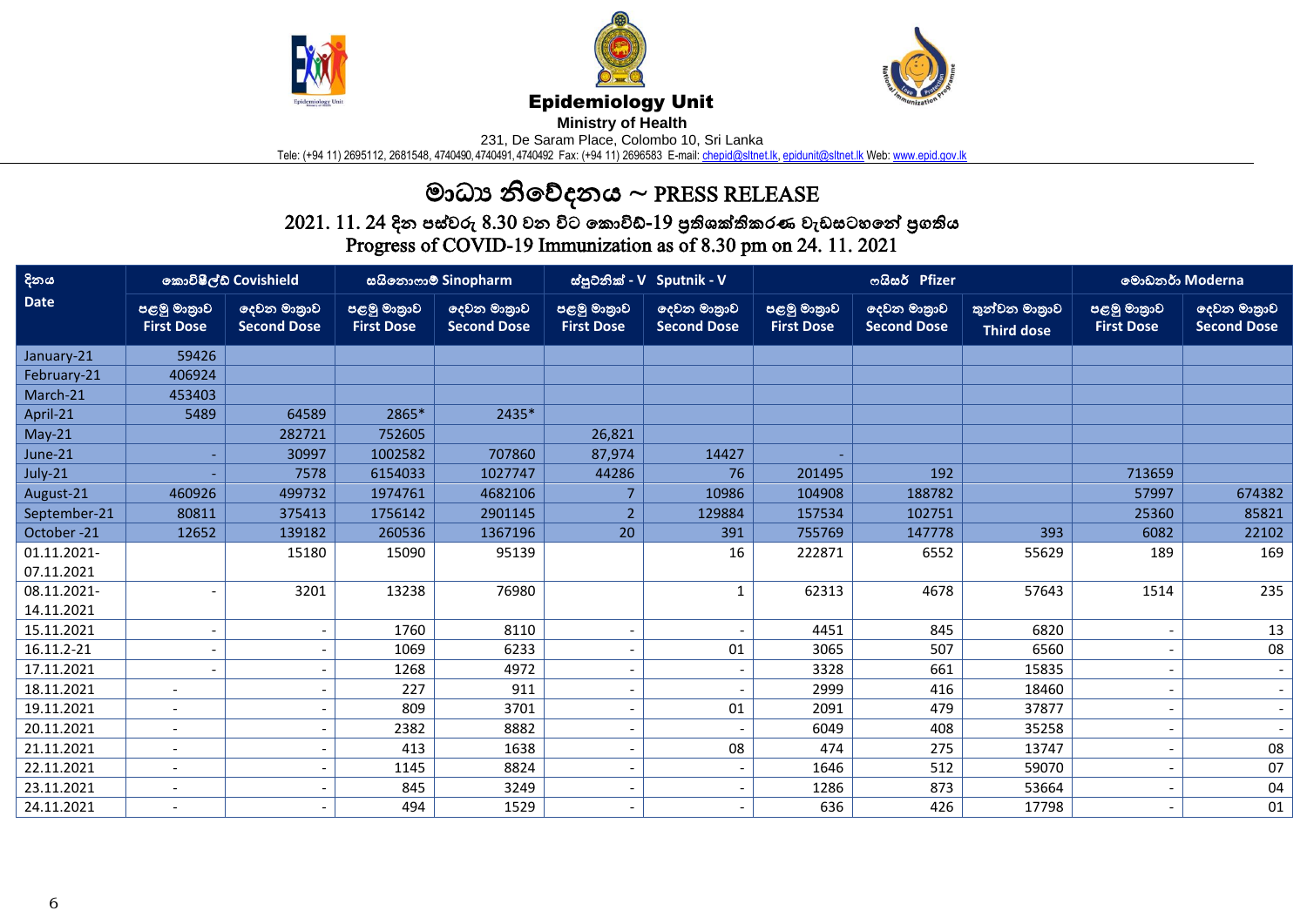





## Epidemiology Unit

**Ministry of Health** 

231, De Saram Place, Colombo 10, Sri Lanka

Tele: (+94 11) 2695112, 2681548, 4740490, 4740491, 4740492 Fax: (+94 11) 2696583 E-mail[: chepid@sltnet.lk,](mailto:chepi@sltnet.lk) [epidunit@sltnet.lk](mailto:epidunit@sltnet.lk) Web[: www.epid.gov.lk](http://www.epid.gov.lk/)

## මාධ්ය නිවේදනය ~ PRESS RELEASE

 $2021.\ 11.\ 24$  දින පස්වරු  $8.30$  වන විට කොවිඩ්- $19$  පුතිශක්තිකරණ වැඩසටහනේ පුගතිය Progress of COVID-19 Immunization as of 8.30 pm on 24. 11. 2021

| දිනය         | කොවිෂීල්ඩ් Covishield            |                                   | සයිනොෆාම් Sinopharm              |                                   | ස්පුටනික් - V Sputnik - V        |                                   |                                  | ოයිසර් Pfizer                     | මොඩනර් Moderna                     |                                  |                                   |
|--------------|----------------------------------|-----------------------------------|----------------------------------|-----------------------------------|----------------------------------|-----------------------------------|----------------------------------|-----------------------------------|------------------------------------|----------------------------------|-----------------------------------|
| <b>Date</b>  | පළමු මාතුාව<br><b>First Dose</b> | දෙවන මාතුාව<br><b>Second Dose</b> | පළමු මාතුාව<br><b>First Dose</b> | ලදවන මාතුාව<br><b>Second Dose</b> | පළමු මාතුාව<br><b>First Dose</b> | දෙවන මාතුාව<br><b>Second Dose</b> | පළමු මාතුාව<br><b>First Dose</b> | දෙවන මාතුාව<br><b>Second Dose</b> | තුන්වන මාතුාව<br><b>Third dose</b> | පළමු මාතුාව<br><b>First Dose</b> | දෙවන මාතුාව<br><b>Second Dose</b> |
| January-21   | 59426                            |                                   |                                  |                                   |                                  |                                   |                                  |                                   |                                    |                                  |                                   |
| February-21  | 406924                           |                                   |                                  |                                   |                                  |                                   |                                  |                                   |                                    |                                  |                                   |
| March-21     | 453403                           |                                   |                                  |                                   |                                  |                                   |                                  |                                   |                                    |                                  |                                   |
| April-21     | 5489                             | 64589                             | 2865*                            | 2435*                             |                                  |                                   |                                  |                                   |                                    |                                  |                                   |
| $May-21$     |                                  | 282721                            | 752605                           |                                   | 26,821                           |                                   |                                  |                                   |                                    |                                  |                                   |
| June-21      |                                  | 30997                             | 1002582                          | 707860                            | 87,974                           | 14427                             |                                  |                                   |                                    |                                  |                                   |
| July-21      |                                  | 7578                              | 6154033                          | 1027747                           | 44286                            | 76                                | 201495                           | 192                               |                                    | 713659                           |                                   |
| August-21    | 460926                           | 499732                            | 1974761                          | 4682106                           |                                  | 10986                             | 104908                           | 188782                            |                                    | 57997                            | 674382                            |
| September-21 | 80811                            | 375413                            | 1756142                          | 2901145                           | $\overline{2}$                   | 129884                            | 157534                           | 102751                            |                                    | 25360                            | 85821                             |
| October-21   | 12652                            | 139182                            | 260536                           | 1367196                           | 20                               | 391                               | 755769                           | 147778                            | 393                                | 6082                             | 22102                             |
| 01.11.2021-  |                                  | 15180                             | 15090                            | 95139                             |                                  | 16                                | 222871                           | 6552                              | 55629                              | 189                              | 169                               |
| 07.11.2021   |                                  |                                   |                                  |                                   |                                  |                                   |                                  |                                   |                                    |                                  |                                   |
| 08.11.2021-  | ٠                                | 3201                              | 13238                            | 76980                             |                                  | $\mathbf 1$                       | 62313                            | 4678                              | 57643                              | 1514                             | 235                               |
| 14.11.2021   |                                  |                                   |                                  |                                   |                                  |                                   |                                  |                                   |                                    |                                  |                                   |
| 15.11.2021   | $\overline{\phantom{a}}$         |                                   | 1760                             | 8110                              |                                  | $\overline{\phantom{a}}$          | 4451                             | 845                               | 6820                               |                                  | 13                                |
| 16.11.2-21   | $\overline{\phantom{a}}$         |                                   | 1069                             | 6233                              |                                  | 01                                | 3065                             | 507                               | 6560                               |                                  | 08                                |
| 17.11.2021   |                                  |                                   | 1268                             | 4972                              |                                  | $\overline{\phantom{a}}$          | 3328                             | 661                               | 15835                              |                                  | $\overline{\phantom{a}}$          |
| 18.11.2021   | $\blacksquare$                   |                                   | 227                              | 911                               |                                  | $\overline{\phantom{a}}$          | 2999                             | 416                               | 18460                              |                                  | $\overline{\phantom{a}}$          |
| 19.11.2021   | $\overline{\phantom{a}}$         |                                   | 809                              | 3701                              |                                  | 01                                | 2091                             | 479                               | 37877                              |                                  | $\overline{\phantom{a}}$          |
| 20.11.2021   | $\overline{\phantom{a}}$         |                                   | 2382                             | 8882                              |                                  | $\blacksquare$                    | 6049                             | 408                               | 35258                              |                                  |                                   |
| 21.11.2021   | $\overline{\phantom{a}}$         |                                   | 413                              | 1638                              |                                  | 08                                | 474                              | 275                               | 13747                              |                                  | 08                                |
| 22.11.2021   | $\overline{\phantom{a}}$         |                                   | 1145                             | 8824                              |                                  | $\overline{\phantom{a}}$          | 1646                             | 512                               | 59070                              |                                  | 07                                |
| 23.11.2021   | $\overline{\phantom{a}}$         |                                   | 845                              | 3249                              |                                  | $\qquad \qquad \blacksquare$      | 1286                             | 873                               | 53664                              |                                  | 04                                |
| 24.11.2021   | $\blacksquare$                   |                                   | 494                              | 1529                              |                                  | $\overline{\phantom{a}}$          | 636                              | 426                               | 17798                              |                                  | 01                                |